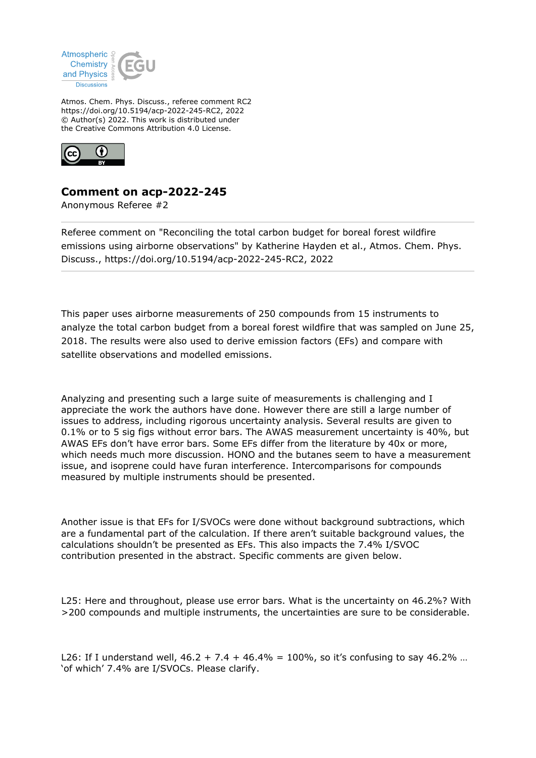

Atmos. Chem. Phys. Discuss., referee comment RC2 https://doi.org/10.5194/acp-2022-245-RC2, 2022 © Author(s) 2022. This work is distributed under the Creative Commons Attribution 4.0 License.



## **Comment on acp-2022-245**

Anonymous Referee #2

Referee comment on "Reconciling the total carbon budget for boreal forest wildfire emissions using airborne observations" by Katherine Hayden et al., Atmos. Chem. Phys. Discuss., https://doi.org/10.5194/acp-2022-245-RC2, 2022

This paper uses airborne measurements of 250 compounds from 15 instruments to analyze the total carbon budget from a boreal forest wildfire that was sampled on June 25, 2018. The results were also used to derive emission factors (EFs) and compare with satellite observations and modelled emissions.

Analyzing and presenting such a large suite of measurements is challenging and I appreciate the work the authors have done. However there are still a large number of issues to address, including rigorous uncertainty analysis. Several results are given to 0.1% or to 5 sig figs without error bars. The AWAS measurement uncertainty is 40%, but AWAS EFs don't have error bars. Some EFs differ from the literature by 40x or more, which needs much more discussion. HONO and the butanes seem to have a measurement issue, and isoprene could have furan interference. Intercomparisons for compounds measured by multiple instruments should be presented.

Another issue is that EFs for I/SVOCs were done without background subtractions, which are a fundamental part of the calculation. If there aren't suitable background values, the calculations shouldn't be presented as EFs. This also impacts the 7.4% I/SVOC contribution presented in the abstract. Specific comments are given below.

L25: Here and throughout, please use error bars. What is the uncertainty on 46.2%? With >200 compounds and multiple instruments, the uncertainties are sure to be considerable.

L26: If I understand well,  $46.2 + 7.4 + 46.4\% = 100\%$ , so it's confusing to say  $46.2\%$  ... 'of which' 7.4% are I/SVOCs. Please clarify.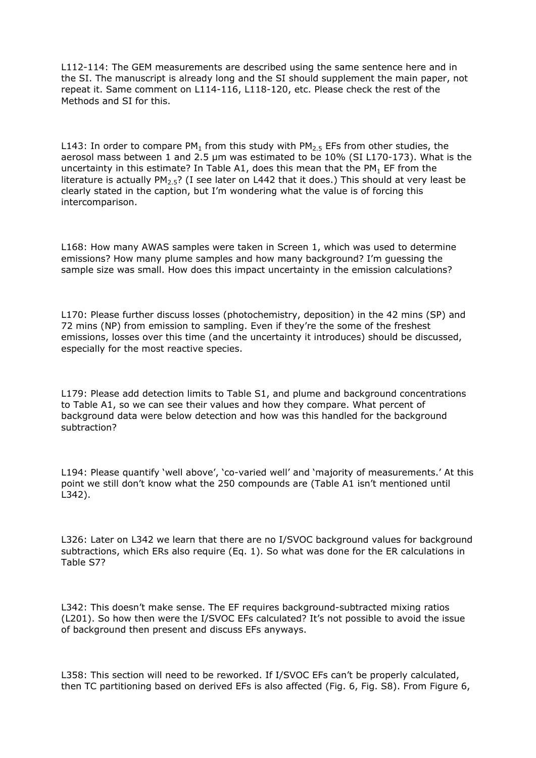L112-114: The GEM measurements are described using the same sentence here and in the SI. The manuscript is already long and the SI should supplement the main paper, not repeat it. Same comment on L114-116, L118-120, etc. Please check the rest of the Methods and SI for this.

L143: In order to compare PM<sub>1</sub> from this study with PM<sub>2.5</sub> EFs from other studies, the aerosol mass between 1 and 2.5 µm was estimated to be 10% (SI L170-173). What is the uncertainty in this estimate? In Table A1, does this mean that the PM<sub>1</sub> EF from the literature is actually  $PM<sub>2.5</sub>$ ? (I see later on L442 that it does.) This should at very least be clearly stated in the caption, but I'm wondering what the value is of forcing this intercomparison.

L168: How many AWAS samples were taken in Screen 1, which was used to determine emissions? How many plume samples and how many background? I'm guessing the sample size was small. How does this impact uncertainty in the emission calculations?

L170: Please further discuss losses (photochemistry, deposition) in the 42 mins (SP) and 72 mins (NP) from emission to sampling. Even if they're the some of the freshest emissions, losses over this time (and the uncertainty it introduces) should be discussed, especially for the most reactive species.

L179: Please add detection limits to Table S1, and plume and background concentrations to Table A1, so we can see their values and how they compare. What percent of background data were below detection and how was this handled for the background subtraction?

L194: Please quantify 'well above', 'co-varied well' and 'majority of measurements.' At this point we still don't know what the 250 compounds are (Table A1 isn't mentioned until L342).

L326: Later on L342 we learn that there are no I/SVOC background values for background subtractions, which ERs also require (Eq. 1). So what was done for the ER calculations in Table S7?

L342: This doesn't make sense. The EF requires background-subtracted mixing ratios (L201). So how then were the I/SVOC EFs calculated? It's not possible to avoid the issue of background then present and discuss EFs anyways.

L358: This section will need to be reworked. If I/SVOC EFs can't be properly calculated, then TC partitioning based on derived EFs is also affected (Fig. 6, Fig. S8). From Figure 6,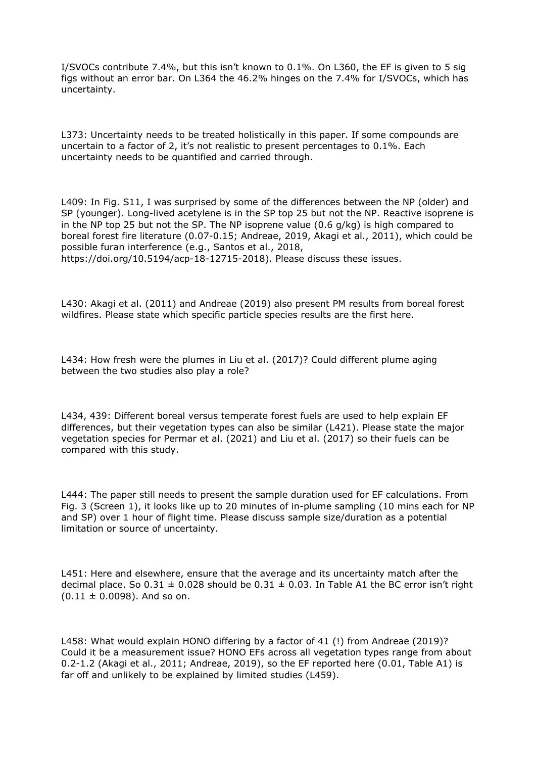I/SVOCs contribute 7.4%, but this isn't known to 0.1%. On L360, the EF is given to 5 sig figs without an error bar. On L364 the 46.2% hinges on the 7.4% for I/SVOCs, which has uncertainty.

L373: Uncertainty needs to be treated holistically in this paper. If some compounds are uncertain to a factor of 2, it's not realistic to present percentages to 0.1%. Each uncertainty needs to be quantified and carried through.

L409: In Fig. S11, I was surprised by some of the differences between the NP (older) and SP (younger). Long-lived acetylene is in the SP top 25 but not the NP. Reactive isoprene is in the NP top 25 but not the SP. The NP isoprene value (0.6 g/kg) is high compared to boreal forest fire literature (0.07-0.15; Andreae, 2019, Akagi et al., 2011), which could be possible furan interference (e.g., Santos et al., 2018, https://doi.org/10.5194/acp-18-12715-2018). Please discuss these issues.

L430: Akagi et al. (2011) and Andreae (2019) also present PM results from boreal forest wildfires. Please state which specific particle species results are the first here.

L434: How fresh were the plumes in Liu et al. (2017)? Could different plume aging between the two studies also play a role?

L434, 439: Different boreal versus temperate forest fuels are used to help explain EF differences, but their vegetation types can also be similar (L421). Please state the major vegetation species for Permar et al. (2021) and Liu et al. (2017) so their fuels can be compared with this study.

L444: The paper still needs to present the sample duration used for EF calculations. From Fig. 3 (Screen 1), it looks like up to 20 minutes of in-plume sampling (10 mins each for NP and SP) over 1 hour of flight time. Please discuss sample size/duration as a potential limitation or source of uncertainty.

L451: Here and elsewhere, ensure that the average and its uncertainty match after the decimal place. So  $0.31 \pm 0.028$  should be  $0.31 \pm 0.03$ . In Table A1 the BC error isn't right  $(0.11 \pm 0.0098)$ . And so on.

L458: What would explain HONO differing by a factor of 41 (!) from Andreae (2019)? Could it be a measurement issue? HONO EFs across all vegetation types range from about 0.2-1.2 (Akagi et al., 2011; Andreae, 2019), so the EF reported here (0.01, Table A1) is far off and unlikely to be explained by limited studies (L459).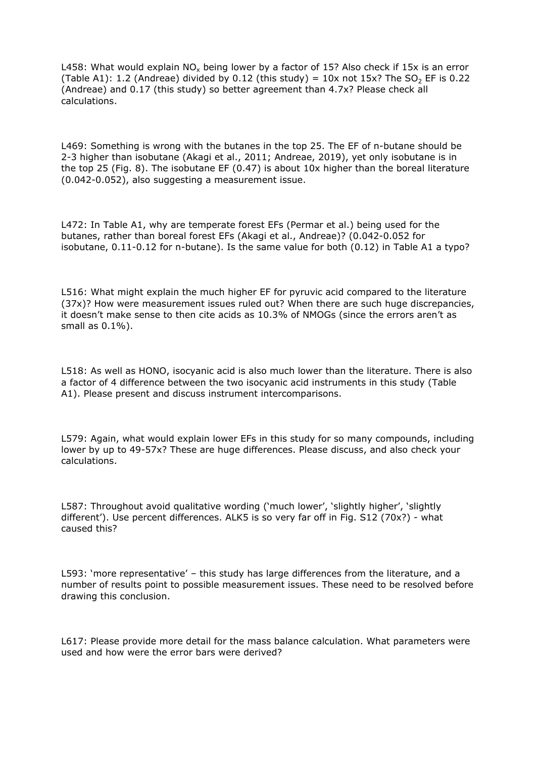L458: What would explain NO<sub>x</sub> being lower by a factor of 15? Also check if 15x is an error (Table A1): 1.2 (Andreae) divided by 0.12 (this study) =  $10x$  not  $15x$ ? The SO<sub>2</sub> EF is 0.22 (Andreae) and 0.17 (this study) so better agreement than 4.7x? Please check all calculations.

L469: Something is wrong with the butanes in the top 25. The EF of n-butane should be 2-3 higher than isobutane (Akagi et al., 2011; Andreae, 2019), yet only isobutane is in the top 25 (Fig. 8). The isobutane EF (0.47) is about 10x higher than the boreal literature (0.042-0.052), also suggesting a measurement issue.

L472: In Table A1, why are temperate forest EFs (Permar et al.) being used for the butanes, rather than boreal forest EFs (Akagi et al., Andreae)? (0.042-0.052 for isobutane, 0.11-0.12 for n-butane). Is the same value for both (0.12) in Table A1 a typo?

L516: What might explain the much higher EF for pyruvic acid compared to the literature (37x)? How were measurement issues ruled out? When there are such huge discrepancies, it doesn't make sense to then cite acids as 10.3% of NMOGs (since the errors aren't as small as 0.1%).

L518: As well as HONO, isocyanic acid is also much lower than the literature. There is also a factor of 4 difference between the two isocyanic acid instruments in this study (Table A1). Please present and discuss instrument intercomparisons.

L579: Again, what would explain lower EFs in this study for so many compounds, including lower by up to 49-57x? These are huge differences. Please discuss, and also check your calculations.

L587: Throughout avoid qualitative wording ('much lower', 'slightly higher', 'slightly different'). Use percent differences. ALK5 is so very far off in Fig. S12 (70x?) - what caused this?

L593: 'more representative' – this study has large differences from the literature, and a number of results point to possible measurement issues. These need to be resolved before drawing this conclusion.

L617: Please provide more detail for the mass balance calculation. What parameters were used and how were the error bars were derived?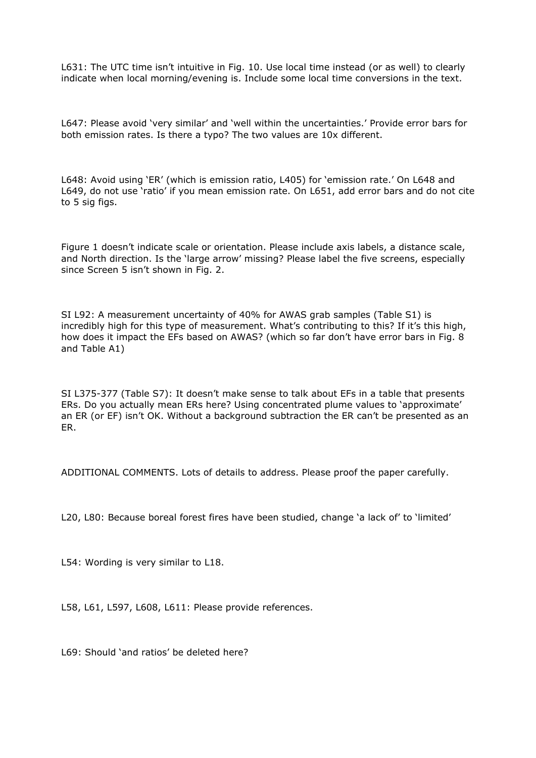L631: The UTC time isn't intuitive in Fig. 10. Use local time instead (or as well) to clearly indicate when local morning/evening is. Include some local time conversions in the text.

L647: Please avoid 'very similar' and 'well within the uncertainties.' Provide error bars for both emission rates. Is there a typo? The two values are 10x different.

L648: Avoid using 'ER' (which is emission ratio, L405) for 'emission rate.' On L648 and L649, do not use 'ratio' if you mean emission rate. On L651, add error bars and do not cite to 5 sig figs.

Figure 1 doesn't indicate scale or orientation. Please include axis labels, a distance scale, and North direction. Is the 'large arrow' missing? Please label the five screens, especially since Screen 5 isn't shown in Fig. 2.

SI L92: A measurement uncertainty of 40% for AWAS grab samples (Table S1) is incredibly high for this type of measurement. What's contributing to this? If it's this high, how does it impact the EFs based on AWAS? (which so far don't have error bars in Fig. 8 and Table A1)

SI L375-377 (Table S7): It doesn't make sense to talk about EFs in a table that presents ERs. Do you actually mean ERs here? Using concentrated plume values to 'approximate' an ER (or EF) isn't OK. Without a background subtraction the ER can't be presented as an ER.

ADDITIONAL COMMENTS. Lots of details to address. Please proof the paper carefully.

L20, L80: Because boreal forest fires have been studied, change 'a lack of' to 'limited'

L54: Wording is very similar to L18.

L58, L61, L597, L608, L611: Please provide references.

L69: Should 'and ratios' be deleted here?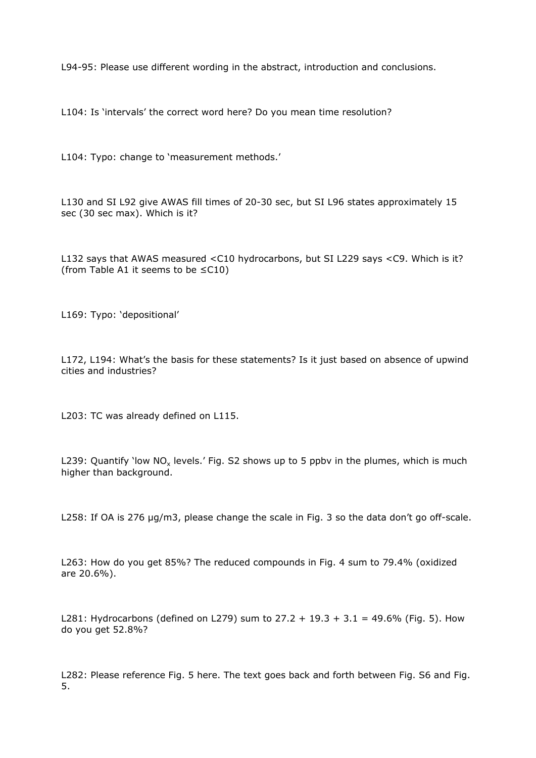L94-95: Please use different wording in the abstract, introduction and conclusions.

L104: Is 'intervals' the correct word here? Do you mean time resolution?

L104: Typo: change to 'measurement methods.'

L130 and SI L92 give AWAS fill times of 20-30 sec, but SI L96 states approximately 15 sec (30 sec max). Which is it?

L132 says that AWAS measured <C10 hydrocarbons, but SI L229 says <C9. Which is it? (from Table A1 it seems to be ≤C10)

L169: Typo: 'depositional'

L172, L194: What's the basis for these statements? Is it just based on absence of upwind cities and industries?

L203: TC was already defined on L115.

L239: Quantify `low NO<sub>x</sub> levels.' Fig. S2 shows up to 5 ppbv in the plumes, which is much higher than background.

L258: If OA is 276 µg/m3, please change the scale in Fig. 3 so the data don't go off-scale.

L263: How do you get 85%? The reduced compounds in Fig. 4 sum to 79.4% (oxidized are 20.6%).

L281: Hydrocarbons (defined on L279) sum to  $27.2 + 19.3 + 3.1 = 49.6\%$  (Fig. 5). How do you get 52.8%?

L282: Please reference Fig. 5 here. The text goes back and forth between Fig. S6 and Fig. 5.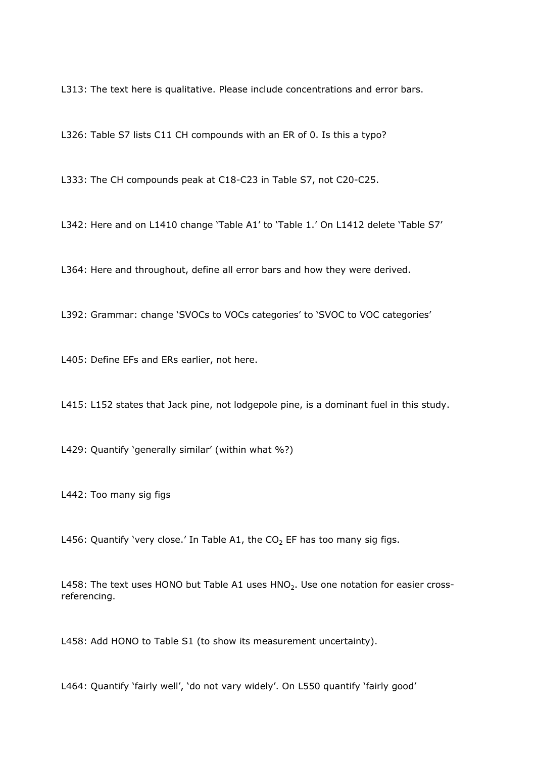L313: The text here is qualitative. Please include concentrations and error bars.

L326: Table S7 lists C11 CH compounds with an ER of 0. Is this a typo?

L333: The CH compounds peak at C18-C23 in Table S7, not C20-C25.

L342: Here and on L1410 change 'Table A1' to 'Table 1.' On L1412 delete 'Table S7'

L364: Here and throughout, define all error bars and how they were derived.

L392: Grammar: change 'SVOCs to VOCs categories' to 'SVOC to VOC categories'

L405: Define EFs and ERs earlier, not here.

L415: L152 states that Jack pine, not lodgepole pine, is a dominant fuel in this study.

L429: Quantify 'generally similar' (within what %?)

L442: Too many sig figs

L456: Quantify 'very close.' In Table A1, the  $CO<sub>2</sub>$  EF has too many sig figs.

L458: The text uses HONO but Table A1 uses  $HNO<sub>2</sub>$ . Use one notation for easier crossreferencing.

L458: Add HONO to Table S1 (to show its measurement uncertainty).

L464: Quantify 'fairly well', 'do not vary widely'. On L550 quantify 'fairly good'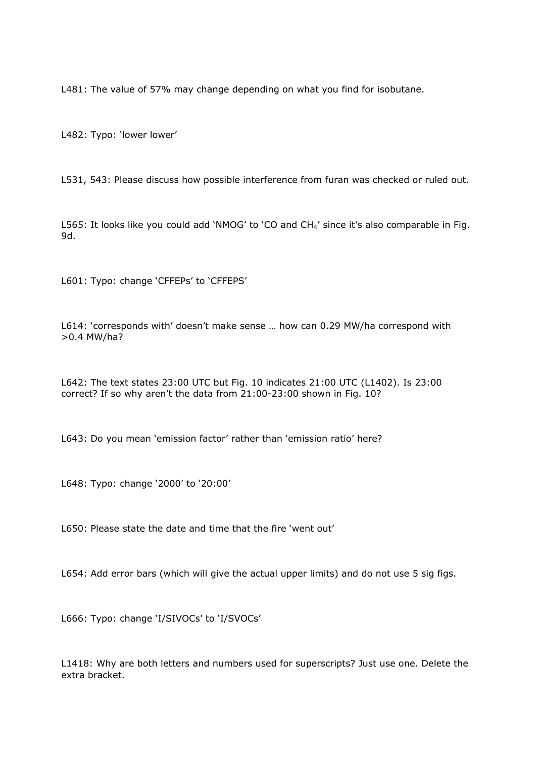L481: The value of 57% may change depending on what you find for isobutane.

L482: Typo: 'lower lower'

L531, 543: Please discuss how possible interference from furan was checked or ruled out.

L565: It looks like you could add 'NMOG' to 'CO and  $CH<sub>4</sub>'$  since it's also comparable in Fig. 9d.

L601: Typo: change 'CFFEPs' to 'CFFEPS'

L614: 'corresponds with' doesn't make sense … how can 0.29 MW/ha correspond with >0.4 MW/ha?

L642: The text states 23:00 UTC but Fig. 10 indicates 21:00 UTC (L1402). Is 23:00 correct? If so why aren't the data from 21:00-23:00 shown in Fig. 10?

L643: Do you mean 'emission factor' rather than 'emission ratio' here?

L648: Typo: change '2000' to '20:00'

L650: Please state the date and time that the fire 'went out'

L654: Add error bars (which will give the actual upper limits) and do not use 5 sig figs.

L666: Typo: change 'I/SIVOCs' to 'I/SVOCs'

L1418: Why are both letters and numbers used for superscripts? Just use one. Delete the extra bracket.